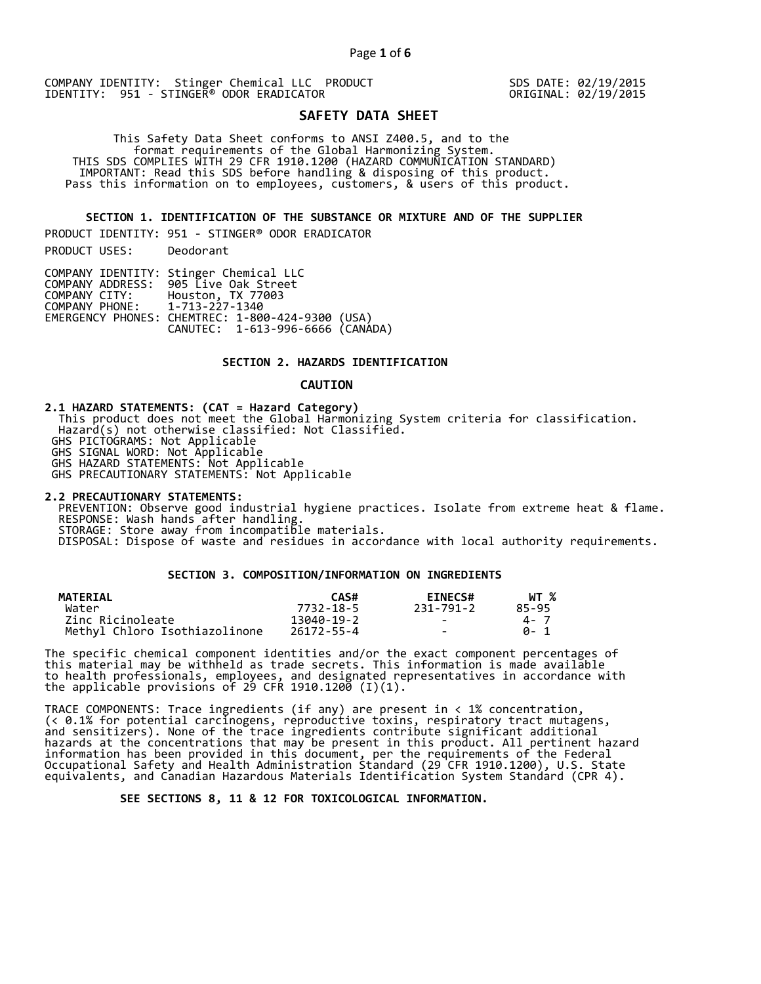COMPANY IDENTITY: Stinger Chemical LLC PRODUCT SDS DATE: 02/19/2015 IDENTITY: 951 - STINGER<sup>®</sup> ODOR ERADICATOR

# **SAFETY DATA SHEET**

 This Safety Data Sheet conforms to ANSI Z400.5, and to the format requirements of the Global Harmonizing System. THIS SDS COMPLIES WITH 29 CFR 1910.1200 (HAZARD COMMUNICATION STANDARD) IMPORTANT: Read this SDS before handling & disposing of this product. Pass this information on to employees, customers, & users of this product.

**SECTION 1. IDENTIFICATION OF THE SUBSTANCE OR MIXTURE AND OF THE SUPPLIER** 

PRODUCT IDENTITY: 951 - STINGER® ODOR ERADICATOR

PRODUCT USES: Deodorant

|                               | COMPANY IDENTITY: Stinger Chemical LLC           |  |
|-------------------------------|--------------------------------------------------|--|
|                               | COMPANY ADDRESS: 905 Live Oak Street             |  |
| COMPANY CITY:                 | Houston, TX 77003                                |  |
| COMPANY PHONE: 1-713-227-1340 |                                                  |  |
|                               | EMERGENCY PHONES: CHEMTREC: 1-800-424-9300 (USA) |  |
|                               | CANUTEC: 1-613-996-6666 (CANADA)                 |  |

## **SECTION 2. HAZARDS IDENTIFICATION**

#### **CAUTION**

**2.1 HAZARD STATEMENTS: (CAT = Hazard Category)** This product does not meet the Global Harmonizing System criteria for classification. Hazard(s) not otherwise classified: Not Classified. GHS PICTOGRAMS: Not Applicable GHS SIGNAL WORD: Not Applicable GHS HAZARD STATEMENTS: Not Applicable GHS PRECAUTIONARY STATEMENTS: Not Applicable

**2.2 PRECAUTIONARY STATEMENTS:**  PREVENTION: Observe good industrial hygiene practices. Isolate from extreme heat & flame. RESPONSE: Wash hands after handling. STORAGE: Store away from incompatible materials. DISPOSAL: Dispose of waste and residues in accordance with local authority requirements.

## **SECTION 3. COMPOSITION/INFORMATION ON INGREDIENTS**

| <b>MATERIAL</b>               | CAS#       | <b>EINECS#</b> | WT %  |
|-------------------------------|------------|----------------|-------|
| Water                         | 7732-18-5  | 231-791-2      | 85-95 |
| Zinc Ricinoleate              | 13040-19-2 | $\sim$         | 4 - 7 |
| Methyl Chloro Isothiazolinone | 26172-55-4 | $\sim$         | A- 1  |

The specific chemical component identities and/or the exact component percentages of this material may be withheld as trade secrets. This information is made available to health professionals, employees, and designated representatives in accordance with the applicable provisions of 29 CFR 1910.1200̄ (I)(1).  $\overline{\phantom{a}}$ 

TRACE COMPONENTS: Trace ingredients (if any) are present in < 1% concentration, (< 0.1% for potential carcinogens, reproductive toxins, respiratory tract mutagens, and sensitizers). None of the trace ingredients contribute significant additional hazards at the concentrations that may be present in this product. All pertinent hazard information has been provided in this document, per the requirements of the Federal Occupational Safety and Health Administration Standard (29 CFR 1910.1200), U.S. State equivalents, and Canadian Hazardous Materials Identification System Standard (CPR 4).

 **SEE SECTIONS 8, 11 & 12 FOR TOXICOLOGICAL INFORMATION.**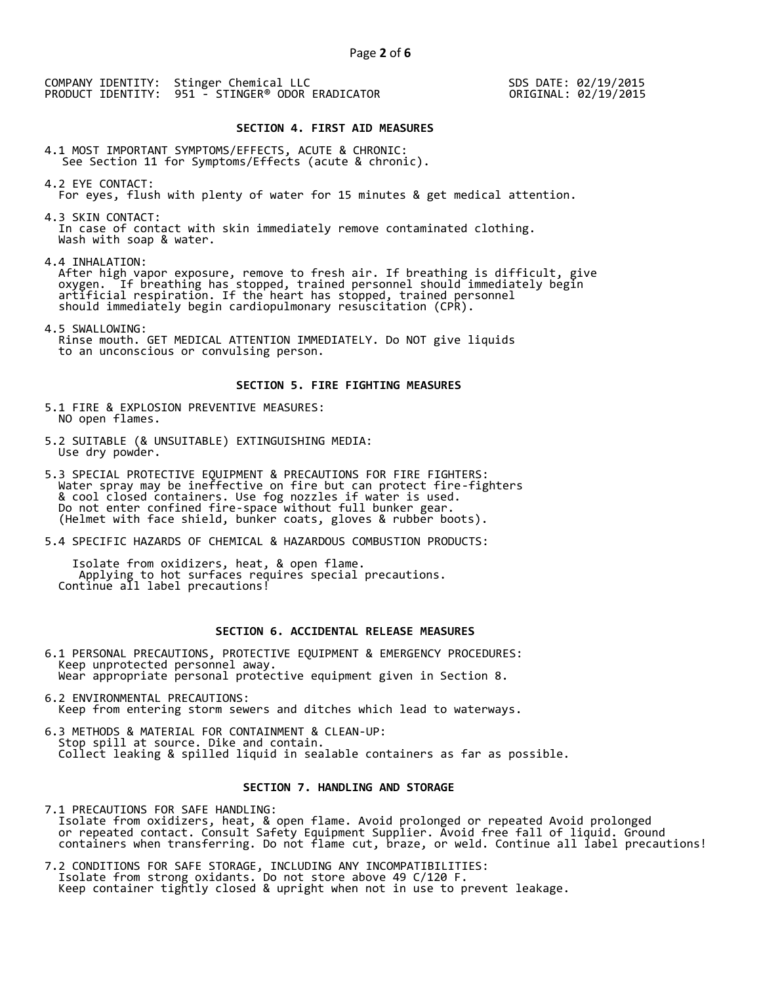COMPANY IDENTITY: Stinger Chemical LLC PRODUCT IDENTITY: 951 - STINGER® ODOR ERADICATOR  SDS DATE: 02/19/2015 ORIGINAL: 02/19/2015

#### **SECTION 4. FIRST AID MEASURES**

4.1 MOST IMPORTANT SYMPTOMS/EFFECTS, ACUTE & CHRONIC: See Section 11 for Symptoms/Effects (acute & chronic).

4.2 EYE CONTACT: For eyes, flush with plenty of water for 15 minutes & get medical attention.

4.3 SKIN CONTACT: In case of contact with skin immediately remove contaminated clothing. Wash with soap & water.

4.4 INHALATION:

 After high vapor exposure, remove to fresh air. If breathing is difficult, give oxygen. If breathing has stopped, trained personnel should immediately begin artificial respiration. If the heart has stopped, trained personnel should immediately begin cardiopulmonary resuscitation (CPR).

4.5 SWALLOWING: Rinse mouth. GET MEDICAL ATTENTION IMMEDIATELY. Do NOT give liquids to an unconscious or convulsing person.

#### **SECTION 5. FIRE FIGHTING MEASURES**

5.1 FIRE & EXPLOSION PREVENTIVE MEASURES: NO open flames.

- 5.2 SUITABLE (& UNSUITABLE) EXTINGUISHING MEDIA: Use dry powder.
- 5.3 SPECIAL PROTECTIVE EQUIPMENT & PRECAUTIONS FOR FIRE FIGHTERS: Water spray may be ineffective on fire but can protect fire-fighters & cool closed containers. Use fog nozzles if water is used. Do not enter confined fire-space without full bunker gear. (Helmet with face shield, bunker coats, gloves & rubber boots).
- 5.4 SPECIFIC HAZARDS OF CHEMICAL & HAZARDOUS COMBUSTION PRODUCTS:

 Isolate from oxidizers, heat, & open flame. Applying to hot surfaces requires special precautions. Continue all label precautions!

## **SECTION 6. ACCIDENTAL RELEASE MEASURES**

- 6.1 PERSONAL PRECAUTIONS, PROTECTIVE EQUIPMENT & EMERGENCY PROCEDURES: Keep unprotected personnel away. Wear appropriate personal protective equipment given in Section 8.
- 6.2 ENVIRONMENTAL PRECAUTIONS: Keep from entering storm sewers and ditches which lead to waterways.
- 6.3 METHODS & MATERIAL FOR CONTAINMENT & CLEAN-UP: Stop spill at source. Dike and contain. Collect leaking & spilled liquid in sealable containers as far as possible.

## **SECTION 7. HANDLING AND STORAGE**

7.1 PRECAUTIONS FOR SAFE HANDLING: Isolate from oxidizers, heat, & open flame. Avoid prolonged or repeated Avoid prolonged or repeated contact. Consult Safety Equipment Supplier. Avoid free fall of liquid. Ground containers when transferring. Do not flame cut, braze, or weld. Continue all label precautions!

7.2 CONDITIONS FOR SAFE STORAGE, INCLUDING ANY INCOMPATIBILITIES: Isolate from strong oxidants. Do not store above 49 C/120 F. Keep container tightly closed & upright when not in use to prevent leakage.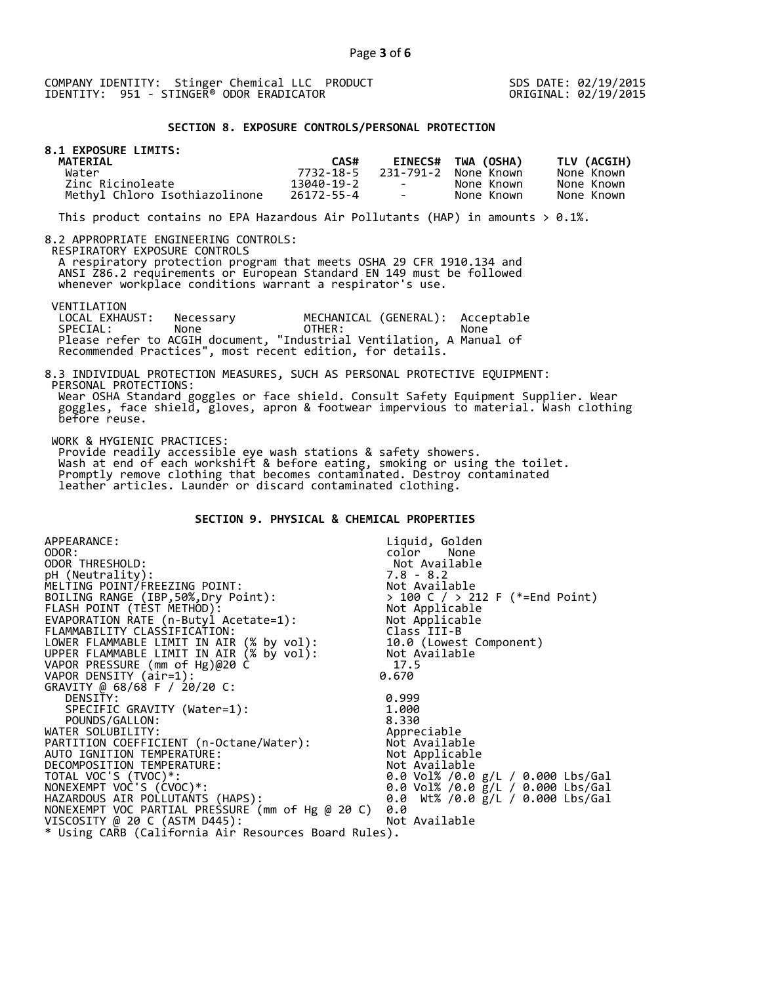COMPANY IDENTITY: Stinger Chemical LLC PRODUCT SDS DATE: 02/19/2015 IDENTITY: 951 - STINGER<sup>®</sup> ODOR ERADICATOR

## **SECTION 8. EXPOSURE CONTROLS/PERSONAL PROTECTION**

| 8.1 EXPOSURE LIMITS:<br>MATERIAL |            |                          |                      |             |
|----------------------------------|------------|--------------------------|----------------------|-------------|
|                                  | CAS#       |                          | EINECS# TWA (OSHA)   | TLV (ACGIH) |
| Water                            | 7732-18-5  |                          | 231-791-2 None Known | None Known  |
| Zinc Ricinoleate                 | 13040-19-2 | <b>Contract Contract</b> | None Known           | None Known  |
| Methyl Chloro Isothiazolinone    | 26172-55-4 | <b>Contract Contract</b> | None Known           | None Known  |

This product contains no EPA Hazardous Air Pollutants (HAP) in amounts  $> 0.1\%$ .

#### 8.2 APPROPRIATE ENGINEERING CONTROLS:

RESPIRATORY EXPOSURE CONTROLS

 A respiratory protection program that meets OSHA 29 CFR 1910.134 and ANSI Z86.2 requirements or European Standard EN 149 must be followed whenever workplace conditions warrant a respirator's use.

VENTILATION<br>LOCAL EXHAUST: LOCAL EXHAUST: Necessary MECHANICAL (GENERAL): Acceptable<br>SPECIAL: None OTHER: None SPECIAL: None OTHER: None Please refer to ACGIH document, "Industrial Ventilation, A Manual of Recommended Practices", most recent edition, for details.

#### 8.3 INDIVIDUAL PROTECTION MEASURES, SUCH AS PERSONAL PROTECTIVE EQUIPMENT: PERSONAL PROTECTIONS: Wear OSHA Standard goggles or face shield. Consult Safety Equipment Supplier. Wear goggles, face shield, gloves, apron & footwear impervious to material. Wash clothing before reuse.

WORK & HYGIENIC PRACTICES:

 Provide readily accessible eye wash stations & safety showers. Wash at end of each workshift & before eating, smoking or using the toilet. Promptly remove clothing that becomes contaminated. Destroy contaminated leather articles. Launder or discard contaminated clothing.

## **SECTION 9. PHYSICAL & CHEMICAL PROPERTIES**

| APPEARANCE:                                          | Liquid, Golden                                      |
|------------------------------------------------------|-----------------------------------------------------|
| ODOR:                                                | color<br>None                                       |
| ODOR THRESHOLD:                                      | Not Available                                       |
| pH (Neutrality):                                     | $7.8 - 8.2$                                         |
| MELTING POINT/FREEZING POINT:                        | Not Available                                       |
| BOILING RANGE (IBP, 50%, Dry Point):                 | > 100 C / > 212 F (*=End Point)                     |
| FLASH POINT (TÈST METHOD):                           | > 100 C / > ∠⊥∠<br>Not Applicable<br>''' ^^nlicable |
| EVAPORATION RATE (n-Butyl Acetate=1):                | Not Applicable                                      |
| FLAMMABILITY CLASSIFICATION:                         | Class III-B                                         |
| LOWER FLAMMABLE LIMIT IN AIR (% by vol):             | 10.0 (Lowest Component)                             |
| UPPER FLAMMABLE LIMIT IN AIR (% by vol):             | Not Available                                       |
| VAPOR PRESSURE (mm of Hg)@20 C                       | 17.5                                                |
| VAPOR DENSITY (air=1):                               | 0.670                                               |
| GRAVITY @ 68/68 F / 20/20 C:                         |                                                     |
| DENSITY:                                             | 0.999                                               |
| SPECIFIC GRAVITY (Water=1):                          | 1.000                                               |
| POUNDS/GALLON:                                       | 8.330                                               |
| WATER SOLUBILITY:                                    | Appreciable                                         |
| PARTITION COEFFICIENT (n-Octane/Water):              | Not Available                                       |
| AUTO IGNITION TEMPERATURE:                           | Not Applicable                                      |
| DECOMPOSITION TEMPERATURE:                           | Not Available                                       |
| TOTAL VOC'S (TVOC)*:                                 | 0.0 Vol% /0.0 g/L / 0.000 Lbs/Gal                   |
| NONEXEMPT VOC'S (CVOC)*:                             | 0.0 Vol% /0.0 g/L / 0.000 Lbs/Gal                   |
| HAZARDOUS AIR POLLUTANTS (HAPS):                     | 0.0 Wt% /0.0 $g/L$ / 0.000 Lbs/Gal                  |
| NONEXEMPT VOC PARTIAL PRESSURE (mm of Hg @ 20 C)     | 0.0                                                 |
| VISCOSITY @ 20 C (ASTM D445):                        | Not Available                                       |
| * Using CARB (California Air Resources Board Rules). |                                                     |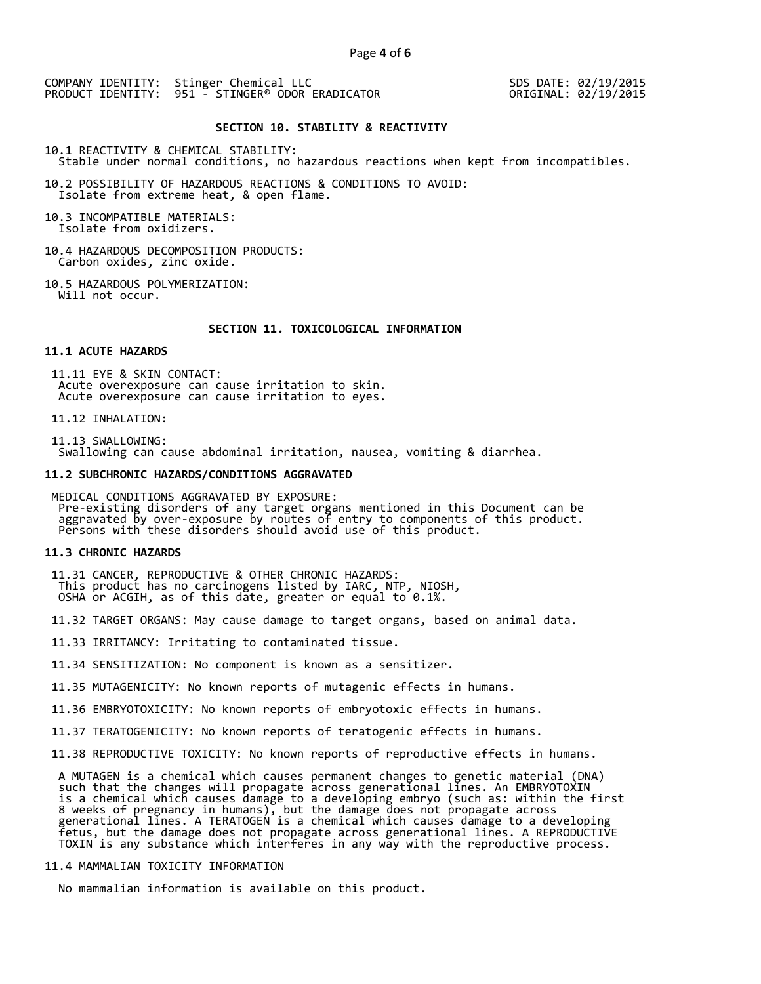COMPANY IDENTITY: Stinger Chemical LLC PRODUCT IDENTITY: 951 - STINGER® ODOR ERADICATOR

 SDS DATE: 02/19/2015 ORIGINAL: 02/19/2015

#### **SECTION 10. STABILITY & REACTIVITY**

10.1 REACTIVITY & CHEMICAL STABILITY: Stable under normal conditions, no hazardous reactions when kept from incompatibles.

10.2 POSSIBILITY OF HAZARDOUS REACTIONS & CONDITIONS TO AVOID: Isolate from extreme heat, & open flame.

10.3 INCOMPATIBLE MATERIALS: Isolate from oxidizers.

10.4 HAZARDOUS DECOMPOSITION PRODUCTS: Carbon oxides, zinc oxide.

10.5 HAZARDOUS POLYMERIZATION: Will not occur.

 **SECTION 11. TOXICOLOGICAL INFORMATION** 

## **11.1 ACUTE HAZARDS**

 11.11 EYE & SKIN CONTACT: Acute overexposure can cause irritation to skin. Acute overexposure can cause irritation to eyes.

11.12 INHALATION:

 11.13 SWALLOWING: Swallowing can cause abdominal irritation, nausea, vomiting & diarrhea.

#### **11.2 SUBCHRONIC HAZARDS/CONDITIONS AGGRAVATED**

 MEDICAL CONDITIONS AGGRAVATED BY EXPOSURE: Pre-existing disorders of any target organs mentioned in this Document can be aggravated by over-exposure by routes of entry to components of this product. Persons with these disorders should avoid use of this product.

#### **11.3 CHRONIC HAZARDS**

 11.31 CANCER, REPRODUCTIVE & OTHER CHRONIC HAZARDS: This product has no carcinogens listed by IARC, NTP, NIOSH, OSHA or ACGIH, as of this date, greater or equal to 0.1%.

11.32 TARGET ORGANS: May cause damage to target organs, based on animal data.

11.33 IRRITANCY: Irritating to contaminated tissue.

11.34 SENSITIZATION: No component is known as a sensitizer.

11.35 MUTAGENICITY: No known reports of mutagenic effects in humans.

11.36 EMBRYOTOXICITY: No known reports of embryotoxic effects in humans.

11.37 TERATOGENICITY: No known reports of teratogenic effects in humans.

11.38 REPRODUCTIVE TOXICITY: No known reports of reproductive effects in humans.

 A MUTAGEN is a chemical which causes permanent changes to genetic material (DNA) such that the changes will propagate across generational lines. An EMBRYOTOXIN is a chemical which causes damage to a developing embryo (such as: within the first 8 weeks of pregnancy in humans), but the damage does not propagate across generational lines. A TERATOGEN is a chemical which causes damage to a developing fetus, but the damage does not propagate across generational lines. A REPRODUCTIVE TOXIN is any substance which interferes in any way with the reproductive process.

## 11.4 MAMMALIAN TOXICITY INFORMATION

No mammalian information is available on this product.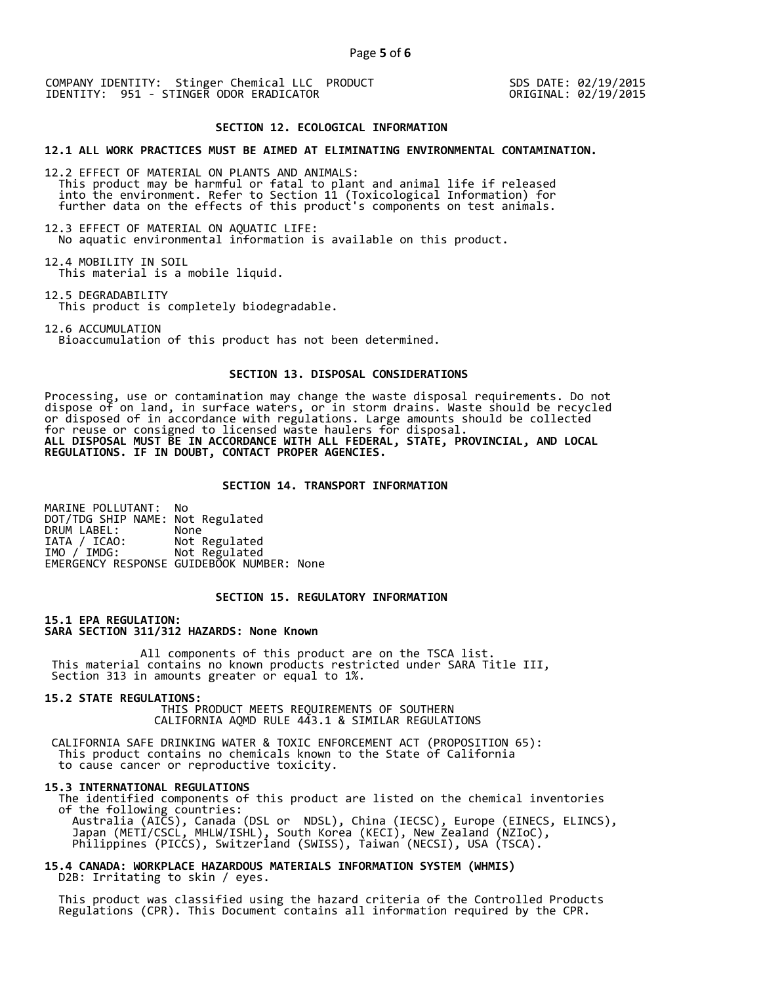COMPANY IDENTITY: Stinger Chemical LLC PRODUCT SDS DATE: 02/19/2015 IDENTITY: 951 - STINGER ODOR ERADICATOR ORIGINAL: 02/19/2015

## **SECTION 12. ECOLOGICAL INFORMATION**

#### **12.1 ALL WORK PRACTICES MUST BE AIMED AT ELIMINATING ENVIRONMENTAL CONTAMINATION.**

12.2 EFFECT OF MATERIAL ON PLANTS AND ANIMALS: This product may be harmful or fatal to plant and animal life if released into the environment. Refer to Section 11 (Toxicological Information) for further data on the effects of this product's components on test animals.

12.3 EFFECT OF MATERIAL ON AQUATIC LIFE: No aquatic environmental information is available on this product.

12.4 MOBILITY IN SOIL This material is a mobile liquid.

12.5 DEGRADABILITY

This product is completely biodegradable.

12.6 ACCUMULATION Bioaccumulation of this product has not been determined.

## **SECTION 13. DISPOSAL CONSIDERATIONS**

Processing, use or contamination may change the waste disposal requirements. Do not dispose of on land, in surface waters, or in storm drains. Waste should be recycled or disposed of in accordance with regulations. Large amounts should be collected for reuse or consigned to licensed waste haulers for disposal. **ALL DISPOSAL MUST BE IN ACCORDANCE WITH ALL FEDERAL, STATE, PROVINCIAL, AND LOCAL REGULATIONS. IF IN DOUBT, CONTACT PROPER AGENCIES.** 

## **SECTION 14. TRANSPORT INFORMATION**

MARINE POLLUTANT: No DOT/TDG SHIP NAME: Not Regulated DRUM LABEL:<br>IATA / ICAO: IATA / ICAO: Not Regulated<br>IMO / IMDG: Not Regulated Not Regulated EMERGENCY RESPONSE GUIDEBOOK NUMBER: None

## **SECTION 15. REGULATORY INFORMATION**

**15.1 EPA REGULATION: SARA SECTION 311/312 HAZARDS: None Known** 

All components of this product are on the TSCA list. This material contains no known products restricted under SARA Title III, Section 313 in amounts greater or equal to 1%.

**15.2 STATE REGULATIONS:**

 THIS PRODUCT MEETS REQUIREMENTS OF SOUTHERN CALIFORNIA AQMD RULE 443.1 & SIMILAR REGULATIONS

 CALIFORNIA SAFE DRINKING WATER & TOXIC ENFORCEMENT ACT (PROPOSITION 65): This product contains no chemicals known to the State of California to cause cancer or reproductive toxicity.

#### **15.3 INTERNATIONAL REGULATIONS**

 The identified components of this product are listed on the chemical inventories of the following countries: Australia (AICS), Canada (DSL or NDSL), China (IECSC), Europe (EINECS, ELINCS), Japan (METI/CSCL, MHLW/ISHL), South Korea (KECI), New Zealand (NZIoC), Philippines (PICCS), Switzerland (SWISS), Taiwan (NECSI), USA (TSCA).

**15.4 CANADA: WORKPLACE HAZARDOUS MATERIALS INFORMATION SYSTEM (WHMIS)**  D2B: Irritating to skin / eyes.

 This product was classified using the hazard criteria of the Controlled Products Regulations (CPR). This Document contains all information required by the CPR.